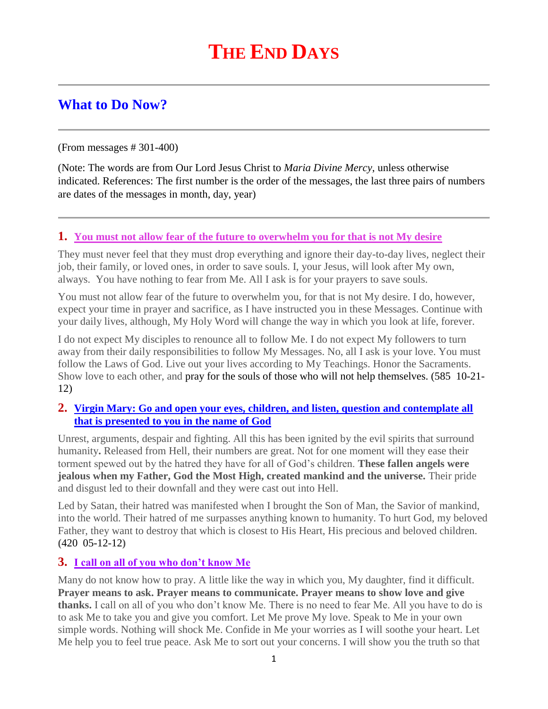# **THE END DAYS**

# **What to Do Now?**

(From messages # 301-400)

(Note: The words are from Our Lord Jesus Christ to *Maria Divine Mercy*, unless otherwise indicated. References: The first number is the order of the messages, the last three pairs of numbers are dates of the messages in month, day, year)

#### **1. You must not allow [fear of the future to overwhelm you for that is not My desire](http://www.thewarningsecondcoming.com/you-must-not-allow-fear-of-the-future-to-overwhelm-you-for-that-is-not-my-desire/)**

They must never feel that they must drop everything and ignore their day-to-day lives, neglect their job, their family, or loved ones, in order to save souls. I, your Jesus, will look after My own, always. You have nothing to fear from Me. All I ask is for your prayers to save souls.

You must not allow fear of the future to overwhelm you, for that is not My desire. I do, however, expect your time in prayer and sacrifice, as I have instructed you in these Messages. Continue with your daily lives, although, My Holy Word will change the way in which you look at life, forever.

I do not expect My disciples to renounce all to follow Me. I do not expect My followers to turn away from their daily responsibilities to follow My Messages. No, all I ask is your love. You must follow the Laws of God. Live out your lives according to My Teachings. Honor the Sacraments. Show love to each other, and pray for the souls of those who will not help themselves. (585 10-21- 12)

#### **2. [Virgin Mary: Go and open your eyes, children, and listen, question and contemplate all](http://www.thewarningsecondcoming.com/virgin-mary-go-and-open-your-eyes-children-and-listen-question-and-contemplate-all-that-is-presented-to-you-in-the-name-of-god/)  [that is presented to you in the name of God](http://www.thewarningsecondcoming.com/virgin-mary-go-and-open-your-eyes-children-and-listen-question-and-contemplate-all-that-is-presented-to-you-in-the-name-of-god/)**

Unrest, arguments, despair and fighting. All this has been ignited by the evil spirits that surround humanity**.** Released from Hell, their numbers are great. Not for one moment will they ease their torment spewed out by the hatred they have for all of God's children. **These fallen angels were jealous when my Father, God the Most High, created mankind and the universe.** Their pride and disgust led to their downfall and they were cast out into Hell.

Led by Satan, their hatred was manifested when I brought the Son of Man, the Savior of mankind, into the world. Their hatred of me surpasses anything known to humanity. To hurt God, my beloved Father, they want to destroy that which is closest to His Heart, His precious and beloved children. **(**420 05-12-12**)**

#### **3. [I call on all of you who don't know Me](http://www.thewarningsecondcoming.com/i-call-on-all-of-you-who-dont-know-me/)**

Many do not know how to pray. A little like the way in which you, My daughter, find it difficult. **Prayer means to ask. Prayer means to communicate. Prayer means to show love and give thanks.** I call on all of you who don't know Me. There is no need to fear Me. All you have to do is to ask Me to take you and give you comfort. Let Me prove My love. Speak to Me in your own simple words. Nothing will shock Me. Confide in Me your worries as I will soothe your heart. Let Me help you to feel true peace. Ask Me to sort out your concerns. I will show you the truth so that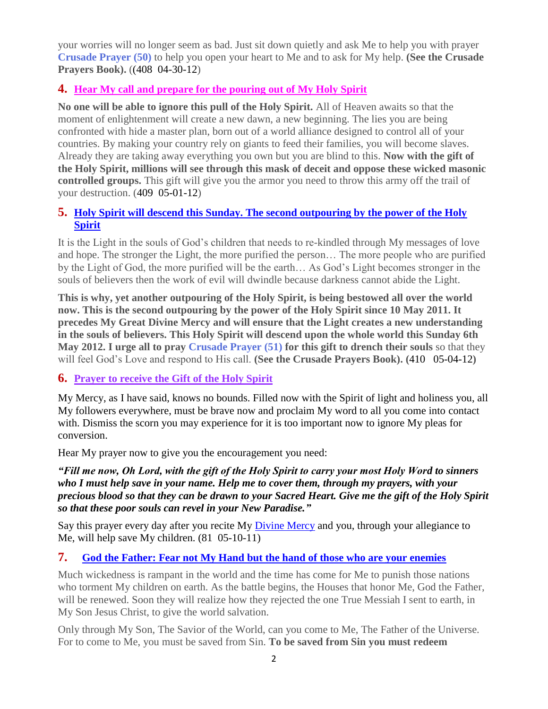your worries will no longer seem as bad. Just sit down quietly and ask Me to help you with prayer **Crusade Prayer (50)** to help you open your heart to Me and to ask for My help. **(See the Crusade Prayers Book).** ((408 04-30-12)

# **4. [Hear My call and prepare for the pouring out of My Holy Spirit](http://www.thewarningsecondcoming.com/hear-my-call-and-prepare-for-the-pouring-out-of-my-holy-spirit/)**

**No one will be able to ignore this pull of the Holy Spirit.** All of Heaven awaits so that the moment of enlightenment will create a new dawn, a new beginning. The lies you are being confronted with hide a master plan, born out of a world alliance designed to control all of your countries. By making your country rely on giants to feed their families, you will become slaves. Already they are taking away everything you own but you are blind to this. **Now with the gift of the Holy Spirit, millions will see through this mask of deceit and oppose these wicked masonic controlled groups.** This gift will give you the armor you need to throw this army off the trail of your destruction. (409 05-01-12)

#### **5. [Holy Spirit will descend this Sunday. The second outpouring by the power of the Holy](http://www.thewarningsecondcoming.com/holy-spirit-will-descend-this-sunday-the-second-outpouring-by-the-power-of-the-holy-spirit/)  [Spirit](http://www.thewarningsecondcoming.com/holy-spirit-will-descend-this-sunday-the-second-outpouring-by-the-power-of-the-holy-spirit/)**

It is the Light in the souls of God's children that needs to re-kindled through My messages of love and hope. The stronger the Light, the more purified the person… The more people who are purified by the Light of God, the more purified will be the earth… As God's Light becomes stronger in the souls of believers then the work of evil will dwindle because darkness cannot abide the Light.

**This is why, yet another outpouring of the Holy Spirit, is being bestowed all over the world now. This is the second outpouring by the power of the Holy Spirit since 10 May 2011. It precedes My Great Divine Mercy and will ensure that the Light creates a new understanding in the souls of believers. This Holy Spirit will descend upon the whole world this Sunday 6th May 2012. I urge all to pray Crusade Prayer (51) for this gift to drench their souls** so that they will feel God's Love and respond to His call. **(See the Crusade Prayers Book). (**410 05-04-12**)**

#### **6. Prayer to receive the Gift of the Holy Spirit**

My Mercy, as I have said, knows no bounds. Filled now with the Spirit of light and holiness you, all My followers everywhere, must be brave now and proclaim My word to all you come into contact with. Dismiss the scorn you may experience for it is too important now to ignore My pleas for conversion.

Hear My prayer now to give you the encouragement you need:

*"Fill me now, Oh Lord, with the gift of the Holy Spirit to carry your most Holy Word to sinners who I must help save in your name. Help me to cover them, through my prayers, with your precious blood so that they can be drawn to your Sacred Heart. Give me the gift of the Holy Spirit so that these poor souls can revel in your New Paradise."*

Say this prayer every day after you recite My *Divine Mercy* and you, through your allegiance to Me, will help save My children.  $(81 \t 05-10-11)$ 

#### **7. [God the Father: Fear not My Hand but the hand of those who are your enemies](http://www.thewarningsecondcoming.com/god-the-father-fear-not-my-hand-but-the-hand-of-those-who-are-your-enemies/)**

Much wickedness is rampant in the world and the time has come for Me to punish those nations who torment My children on earth. As the battle begins, the Houses that honor Me, God the Father, will be renewed. Soon they will realize how they rejected the one True Messiah I sent to earth, in My Son Jesus Christ, to give the world salvation.

Only through My Son, The Savior of the World, can you come to Me, The Father of the Universe. For to come to Me, you must be saved from Sin. **To be saved from Sin you must redeem**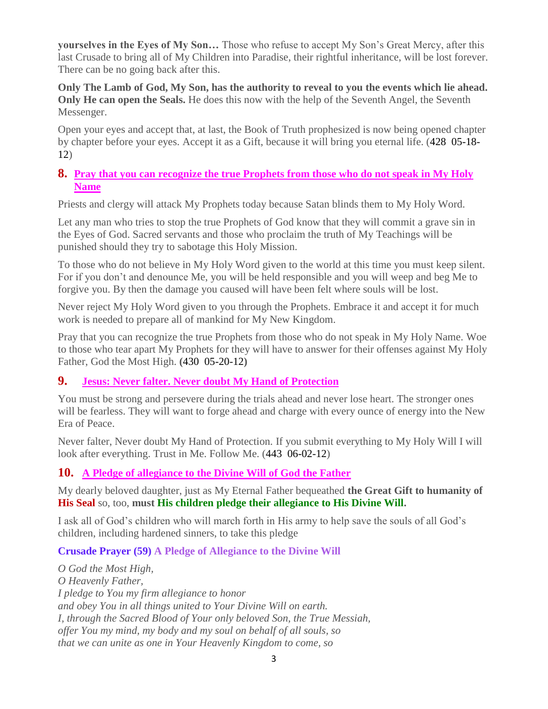**yourselves in the Eyes of My Son…** Those who refuse to accept My Son's Great Mercy, after this last Crusade to bring all of My Children into Paradise, their rightful inheritance, will be lost forever. There can be no going back after this.

**Only The Lamb of God, My Son, has the authority to reveal to you the events which lie ahead. Only He can open the Seals.** He does this now with the help of the Seventh Angel, the Seventh Messenger.

Open your eyes and accept that, at last, the Book of Truth prophesized is now being opened chapter by chapter before your eyes. Accept it as a Gift, because it will bring you eternal life. (428 05-18- 12)

#### **8. [Pray that you can recognize the true Prophets from those who do not speak in My Holy](http://www.thewarningsecondcoming.com/pray-that-you-can-recognise-the-true-prophets-from-those-who-do-not-speak-in-my-holy-name/)  [Name](http://www.thewarningsecondcoming.com/pray-that-you-can-recognise-the-true-prophets-from-those-who-do-not-speak-in-my-holy-name/)**

Priests and clergy will attack My Prophets today because Satan blinds them to My Holy Word.

Let any man who tries to stop the true Prophets of God know that they will commit a grave sin in the Eyes of God. Sacred servants and those who proclaim the truth of My Teachings will be punished should they try to sabotage this Holy Mission.

To those who do not believe in My Holy Word given to the world at this time you must keep silent. For if you don't and denounce Me, you will be held responsible and you will weep and beg Me to forgive you. By then the damage you caused will have been felt where souls will be lost.

Never reject My Holy Word given to you through the Prophets. Embrace it and accept it for much work is needed to prepare all of mankind for My New Kingdom.

Pray that you can recognize the true Prophets from those who do not speak in My Holy Name. Woe to those who tear apart My Prophets for they will have to answer for their offenses against My Holy Father, God the Most High. **(**430 05-20-12**)**

#### **9. [Jesus: Never falter. Never doubt](http://www.thewarningsecondcoming.com/jesus-never-falter-never-doubt-my-hand-of-protection/) My Hand of Protection**

You must be strong and persevere during the trials ahead and never lose heart. The stronger ones will be fearless. They will want to forge ahead and charge with every ounce of energy into the New Era of Peace.

Never falter, Never doubt My Hand of Protection. If you submit everything to My Holy Will I will look after everything. Trust in Me. Follow Me. (443 06-02-12)

# **10. [A Pledge of allegiance to the Divine Will of God the Father](http://www.thewarningsecondcoming.com/pledge-of-allegiance-to-the-divine-will-of-god-the-father/)**

My dearly beloved daughter, just as My Eternal Father bequeathed **the Great Gift to humanity of His Seal** so, too, **must His children pledge their allegiance to His Divine Will.**

I ask all of God's children who will march forth in His army to help save the souls of all God's children, including hardened sinners, to take this pledge

#### **Crusade Prayer (59) A Pledge of Allegiance to the Divine Will**

*O God the Most High, O Heavenly Father, I pledge to You my firm allegiance to honor and obey You in all things united to Your Divine Will on earth. I, through the Sacred Blood of Your only beloved Son, the True Messiah, offer You my mind, my body and my soul on behalf of all souls, so that we can unite as one in Your Heavenly Kingdom to come, so*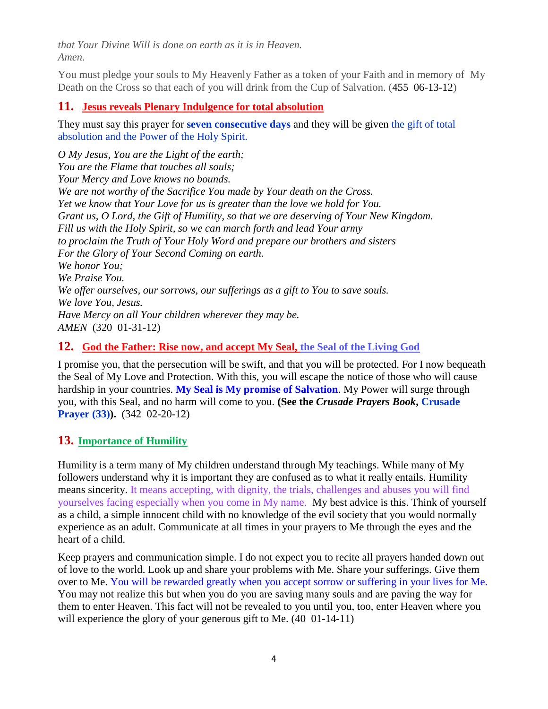*that Your Divine Will is done on earth as it is in Heaven. Amen.*

You must pledge your souls to My Heavenly Father as a token of your Faith and in memory of My Death on the Cross so that each of you will drink from the Cup of Salvation. (455 06-13-12)

### **11. [Jesus reveals Plenary Indulgence for total absolution](http://www.thewarningsecondcoming.com/jesus-reveals-plenary-indulgence-for-total-absolution/)**

They must say this prayer for **seven consecutive days** and they will be given the gift of total absolution and the Power of the Holy Spirit.

*O My Jesus, You are the Light of the earth; You are the Flame that touches all souls; Your Mercy and Love knows no bounds. We are not worthy of the Sacrifice You made by Your death on the Cross. Yet we know that Your Love for us is greater than the love we hold for You. Grant us, O Lord, the Gift of Humility, so that we are deserving of Your New Kingdom. Fill us with the Holy Spirit, so we can march forth and lead Your army to proclaim the Truth of Your Holy Word and prepare our brothers and sisters For the Glory of Your Second Coming on earth. We honor You; We Praise You. We offer ourselves, our sorrows, our sufferings as a gift to You to save souls. We love You, Jesus. Have Mercy on all Your children wherever they may be. AMEN* (320 01-31-12)

#### **12. [God the Father: Rise now, and accept My Seal, the Seal of the Living God](http://www.thewarningsecondcoming.com/god-the-father-rise-now-and-accept-my-seal-the-seal-of-the-living-god/)**

I promise you, that the persecution will be swift, and that you will be protected. For I now bequeath the Seal of My Love and Protection. With this, you will escape the notice of those who will cause hardship in your countries. **My Seal is My promise of Salvation**. My Power will surge through you, with this Seal, and no harm will come to you. **(See the** *Crusade Prayers Book***, Crusade Prayer (33)).** (342 02-20-12)

# **13. Importance of Humility**

Humility is a term many of My children understand through My teachings. While many of My followers understand why it is important they are confused as to what it really entails. Humility means sincerity. It means accepting, with dignity, the trials, challenges and abuses you will find yourselves facing especially when you come in My name. My best advice is this. Think of yourself as a child, a simple innocent child with no knowledge of the evil society that you would normally experience as an adult. Communicate at all times in your prayers to Me through the eyes and the heart of a child.

Keep prayers and communication simple. I do not expect you to recite all prayers handed down out of love to the world. Look up and share your problems with Me. Share your sufferings. Give them over to Me. You will be rewarded greatly when you accept sorrow or suffering in your lives for Me. You may not realize this but when you do you are saving many souls and are paving the way for them to enter Heaven. This fact will not be revealed to you until you, too, enter Heaven where you will experience the glory of your generous gift to Me.  $(40 \t 01-14-11)$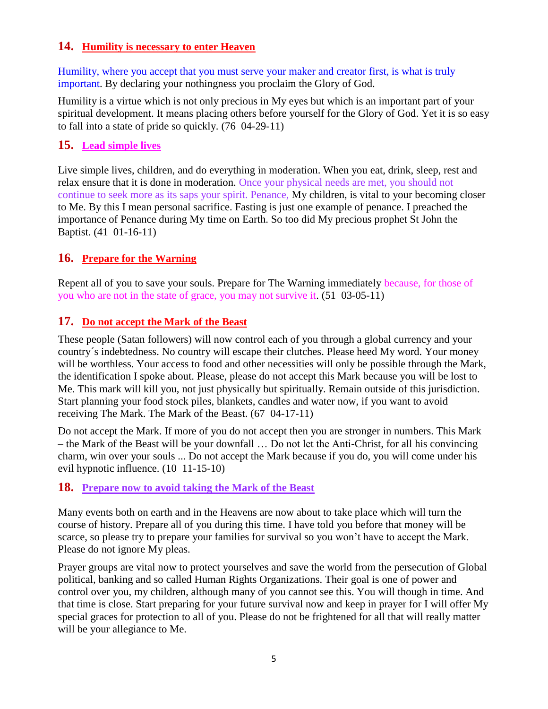#### **14. Humility is necessary to enter Heaven**

Humility, where you accept that you must serve your maker and creator first, is what is truly important. By declaring your nothingness you proclaim the Glory of God.

Humility is a virtue which is not only precious in My eyes but which is an important part of your spiritual development. It means placing others before yourself for the Glory of God. Yet it is so easy to fall into a state of pride so quickly. (76 04-29-11)

#### **15. Lead simple lives**

Live simple lives, children, and do everything in moderation. When you eat, drink, sleep, rest and relax ensure that it is done in moderation. Once your physical needs are met, you should not continue to seek more as its saps your spirit. Penance, My children, is vital to your becoming closer to Me. By this I mean personal sacrifice. Fasting is just one example of penance. I preached the importance of Penance during My time on Earth. So too did My precious prophet St John the Baptist. (41 01-16-11)

#### **16. Prepare for the Warning**

Repent all of you to save your souls. Prepare for The Warning immediately because, for those of you who are not in the state of grace, you may not survive it. (51 03-05-11)

#### **17. Do not accept the Mark of the Beast**

These people (Satan followers) will now control each of you through a global currency and your country´s indebtedness. No country will escape their clutches. Please heed My word. Your money will be worthless. Your access to food and other necessities will only be possible through the Mark, the identification I spoke about. Please, please do not accept this Mark because you will be lost to Me. This mark will kill you, not just physically but spiritually. Remain outside of this jurisdiction. Start planning your food stock piles, blankets, candles and water now, if you want to avoid receiving The Mark. The Mark of the Beast. (67 04-17-11)

Do not accept the Mark. If more of you do not accept then you are stronger in numbers. This Mark – the Mark of the Beast will be your downfall … Do not let the Anti-Christ, for all his convincing charm, win over your souls ... Do not accept the Mark because if you do, you will come under his evil hypnotic influence. (10 11-15-10)

#### **18. Prepare now to avoid taking the Mark of the Beast**

Many events both on earth and in the Heavens are now about to take place which will turn the course of history. Prepare all of you during this time. I have told you before that money will be scarce, so please try to prepare your families for survival so you won't have to accept the Mark. Please do not ignore My pleas.

Prayer groups are vital now to protect yourselves and save the world from the persecution of Global political, banking and so called Human Rights Organizations. Their goal is one of power and control over you, my children, although many of you cannot see this. You will though in time. And that time is close. Start preparing for your future survival now and keep in prayer for I will offer My special graces for protection to all of you. Please do not be frightened for all that will really matter will be your allegiance to Me.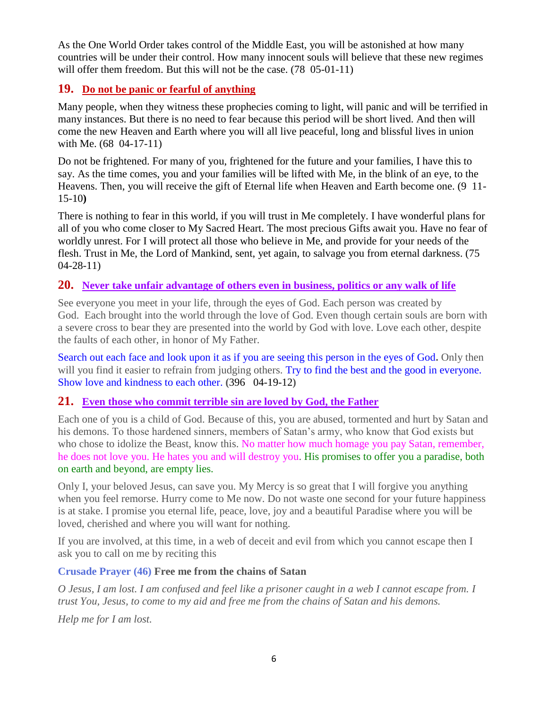As the One World Order takes control of the Middle East, you will be astonished at how many countries will be under their control. How many innocent souls will believe that these new regimes will offer them freedom. But this will not be the case. (78 05-01-11)

# **19. Do not be panic or fearful of anything**

Many people, when they witness these prophecies coming to light, will panic and will be terrified in many instances. But there is no need to fear because this period will be short lived. And then will come the new Heaven and Earth where you will all live peaceful, long and blissful lives in union with Me. (68 04-17-11)

Do not be frightened. For many of you, frightened for the future and your families, I have this to say. As the time comes, you and your families will be lifted with Me, in the blink of an eye, to the Heavens. Then, you will receive the gift of Eternal life when Heaven and Earth become one. (9 11- 15-10**)**

There is nothing to fear in this world, if you will trust in Me completely. I have wonderful plans for all of you who come closer to My Sacred Heart. The most precious Gifts await you. Have no fear of worldly unrest. For I will protect all those who believe in Me, and provide for your needs of the flesh. Trust in Me, the Lord of Mankind, sent, yet again, to salvage you from eternal darkness. (75 04-28-11)

#### **20. [Never take unfair advantage of others even in business, politics or any walk of life](http://www.thewarningsecondcoming.com/never-take-unfair-advantage-of-others-even-in-business-politics-or-any-walk-of-life/)**

See everyone you meet in your life, through the eyes of God. Each person was created by God. Each brought into the world through the love of God. Even though certain souls are born with a severe cross to bear they are presented into the world by God with love. Love each other, despite the faults of each other, in honor of My Father.

Search out each face and look upon it as if you are seeing this person in the eyes of God**.** Only then will you find it easier to refrain from judging others. Try to find the best and the good in everyone. Show love and kindness to each other. **(**396 04-19-12**)**

#### **21. [Even those who commit terrible sin are loved by God, the Father](http://www.thewarningsecondcoming.com/even-those-who-commit-terrible-sin-are-loved-by-god-the-father/)**

Each one of you is a child of God. Because of this, you are abused, tormented and hurt by Satan and his demons. To those hardened sinners, members of Satan's army, who know that God exists but who chose to idolize the Beast, know this. No matter how much homage you pay Satan, remember, he does not love you. He hates you and will destroy you. His promises to offer you a paradise, both on earth and beyond, are empty lies.

Only I, your beloved Jesus, can save you. My Mercy is so great that I will forgive you anything when you feel remorse. Hurry come to Me now. Do not waste one second for your future happiness is at stake. I promise you eternal life, peace, love, joy and a beautiful Paradise where you will be loved, cherished and where you will want for nothing.

If you are involved, at this time, in a web of deceit and evil from which you cannot escape then I ask you to call on me by reciting this

#### **Crusade Prayer (46) Free me from the chains of Satan**

*O Jesus, I am lost. I am confused and feel like a prisoner caught in a web I cannot escape from. I trust You, Jesus, to come to my aid and free me from the chains of Satan and his demons.*

*Help me for I am lost.*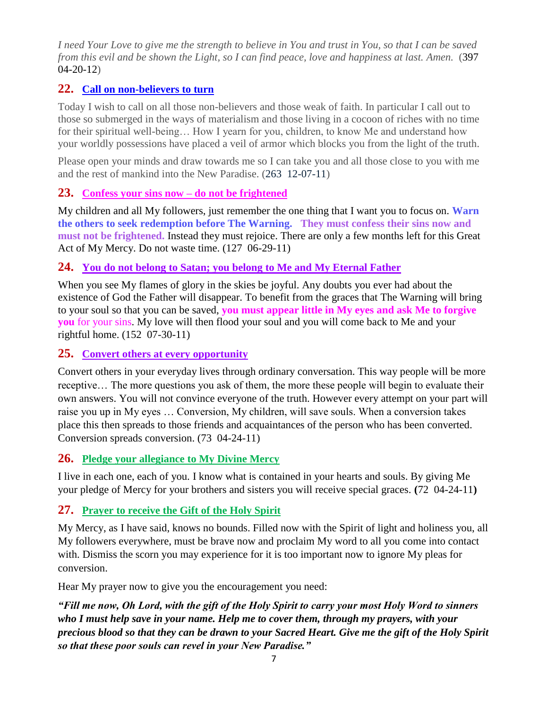*I need Your Love to give me the strength to believe in You and trust in You, so that I can be saved from this evil and be shown the Light, so I can find peace, love and happiness at last. Amen.* (397 04-20-12)

# **22. [Call on non-believers to turn](http://www.thewarningsecondcoming.com/call-on-non-believers-to-turn/)**

Today I wish to call on all those non-believers and those weak of faith. In particular I call out to those so submerged in the ways of materialism and those living in a cocoon of riches with no time for their spiritual well-being… How I yearn for you, children, to know Me and understand how your worldly possessions have placed a veil of armor which blocks you from the light of the truth.

Please open your minds and draw towards me so I can take you and all those close to you with me and the rest of mankind into the New Paradise. (263 12-07-11)

#### **23. [Confess your sins now –](http://www.thewarningsecondcoming.com/confess-your-sins-now-do-not-be-frightened/) do not be frightened**

My children and all My followers, just remember the one thing that I want you to focus on. **Warn the others to seek redemption before The Warning. They must confess their sins now and must not be frightened.** Instead they must rejoice. There are only a few months left for this Great Act of My Mercy. Do not waste time. (127 06-29-11)

#### **24. [You do not belong to Satan; you belong to Me and](http://www.thewarningsecondcoming.com/you-do-not-belong-to-satan-you-belong-to-me-and-my-eternal-father/) My Eternal Father**

When you see My flames of glory in the skies be joyful. Any doubts you ever had about the existence of God the Father will disappear. To benefit from the graces that The Warning will bring to your soul so that you can be saved, **you must appear little in My eyes and ask Me to forgive you** for your sins. My love will then flood your soul and you will come back to Me and your rightful home. (152 07-30-11)

#### **25. [Convert others at every opportunity](http://www.thewarningsecondcoming.com/convert-others-at-every-opportunity/)**

Convert others in your everyday lives through ordinary conversation. This way people will be more receptive… The more questions you ask of them, the more these people will begin to evaluate their own answers. You will not convince everyone of the truth. However every attempt on your part will raise you up in My eyes … Conversion, My children, will save souls. When a conversion takes place this then spreads to those friends and acquaintances of the person who has been converted. Conversion spreads conversion. (73 04-24-11)

#### **26. [Pledge your allegiance to My Divine Mercy](http://www.thewarningsecondcoming.com/pledge-your-allegiance-to-my-divine-mercy/)**

I live in each one, each of you. I know what is contained in your hearts and souls. By giving Me your pledge of Mercy for your brothers and sisters you will receive special graces. **(**72 04-24-11**)** 

#### **27. Prayer to receive the Gift of the Holy Spirit**

My Mercy, as I have said, knows no bounds. Filled now with the Spirit of light and holiness you, all My followers everywhere, must be brave now and proclaim My word to all you come into contact with. Dismiss the scorn you may experience for it is too important now to ignore My pleas for conversion.

Hear My prayer now to give you the encouragement you need:

*"Fill me now, Oh Lord, with the gift of the Holy Spirit to carry your most Holy Word to sinners who I must help save in your name. Help me to cover them, through my prayers, with your precious blood so that they can be drawn to your Sacred Heart. Give me the gift of the Holy Spirit so that these poor souls can revel in your New Paradise."*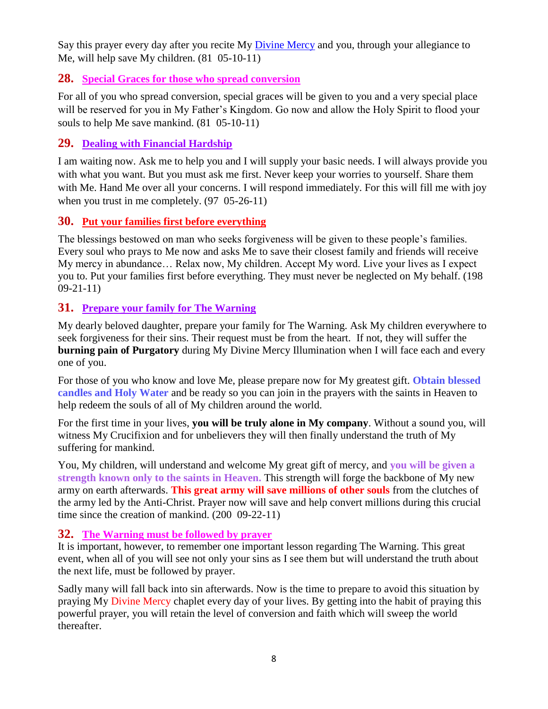Say this prayer every day after you recite My [Divine Mercy](http://www.enddays.net/divine-mercy-chaplet/) and you, through your allegiance to Me, will help save My children.  $(81 \t 05-10-11)$ 

#### **28. Special Graces for those who spread conversion**

For all of you who spread conversion, special graces will be given to you and a very special place will be reserved for you in My Father's Kingdom. Go now and allow the Holy Spirit to flood your souls to help Me save mankind. (81 05-10-11)

#### **29. [Dealing with Financial Hardship](http://www.thewarningsecondcoming.com/dealing-with-financial-hardship/)**

I am waiting now. Ask me to help you and I will supply your basic needs. I will always provide you with what you want. But you must ask me first. Never keep your worries to yourself. Share them with Me. Hand Me over all your concerns. I will respond immediately. For this will fill me with joy when you trust in me completely. (97 05-26-11)

#### **30. Put your families first before everything**

The blessings bestowed on man who seeks forgiveness will be given to these people's families. Every soul who prays to Me now and asks Me to save their closest family and friends will receive My mercy in abundance… Relax now, My children. Accept My word. Live your lives as I expect you to. Put your families first before everything. They must never be neglected on My behalf. (198 09-21-11)

#### **31. Prepare your family for The Warning**

My dearly beloved daughter, prepare your family for The Warning. Ask My children everywhere to seek forgiveness for their sins. Their request must be from the heart. If not, they will suffer the **burning pain of Purgatory** during My Divine Mercy Illumination when I will face each and every one of you.

For those of you who know and love Me, please prepare now for My greatest gift. **Obtain blessed candles and Holy Water** and be ready so you can join in the prayers with the saints in Heaven to help redeem the souls of all of My children around the world.

For the first time in your lives, **you will be truly alone in My company**. Without a sound you, will witness My Crucifixion and for unbelievers they will then finally understand the truth of My suffering for mankind.

You, My children, will understand and welcome My great gift of mercy, and **you will be given a strength known only to the saints in Heaven.** This strength will forge the backbone of My new army on earth afterwards. **This great army will save millions of other souls** from the clutches of the army led by the Anti-Christ. Prayer now will save and help convert millions during this crucial time since the creation of mankind. (200 09-22-11)

#### **32. The Warning must be followed by prayer**

It is important, however, to remember one important lesson regarding The Warning. This great event, when all of you will see not only your sins as I see them but will understand the truth about the next life, must be followed by prayer.

Sadly many will fall back into sin afterwards. Now is the time to prepare to avoid this situation by praying My [Divine Mercy](http://www.thewarningsecondcoming.com/divine-mercy-chaplet/) chaplet every day of your lives. By getting into the habit of praying this powerful prayer, you will retain the level of conversion and faith which will sweep the world thereafter.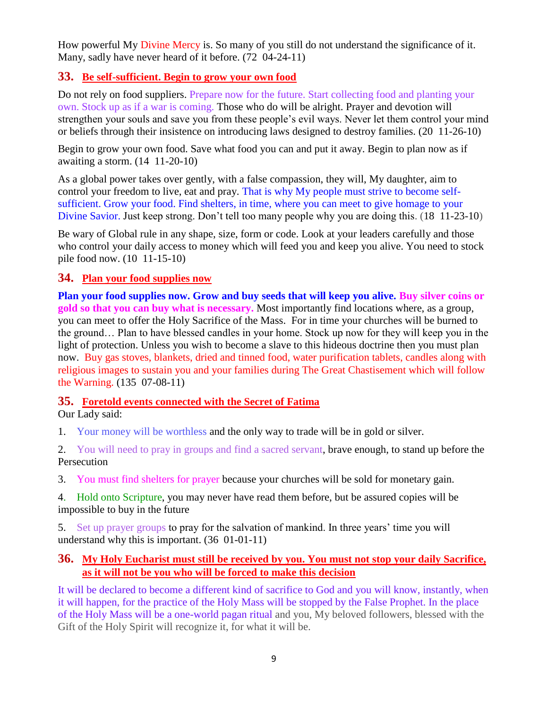How powerful My [Divine Mercy](http://www.thewarningsecondcoming.com/divine-mercy-chaplet/) is. So many of you still do not understand the significance of it. Many, sadly have never heard of it before. (72 04-24-11)

#### **33. Be self-sufficient. Begin to grow your own food**

Do not rely on food suppliers. Prepare now for the future. Start collecting food and planting your own. Stock up as if a war is coming. Those who do will be alright. Prayer and devotion will strengthen your souls and save you from these people's evil ways. Never let them control your mind or beliefs through their insistence on introducing laws designed to destroy families. (20 11-26-10)

Begin to grow your own food. Save what food you can and put it away. Begin to plan now as if awaiting a storm. (14 11-20-10)

As a global power takes over gently, with a false compassion, they will, My daughter, aim to control your freedom to live, eat and pray. That is why My people must strive to become selfsufficient. Grow your food. Find shelters, in time, where you can meet to give homage to your Divine Savior. Just keep strong. Don't tell too many people why you are doing this. (18 11-23-10)

Be wary of Global rule in any shape, size, form or code. Look at your leaders carefully and those who control your daily access to money which will feed you and keep you alive. You need to stock pile food now. (10 11-15-10)

#### **34. Plan your food supplies now**

**Plan your food supplies now. Grow and buy seeds that will keep you alive. Buy silver coins or gold so that you can buy what is necessary.** Most importantly find locations where, as a group, you can meet to offer the Holy Sacrifice of the Mass. For in time your churches will be burned to the ground… Plan to have blessed candles in your home. Stock up now for they will keep you in the light of protection. Unless you wish to become a slave to this hideous doctrine then you must plan now. Buy gas stoves, blankets, dried and tinned food, water purification tablets, candles along with religious images to sustain you and your families during The Great Chastisement which will follow the Warning. (135 07-08-11)

#### **35. Foretold events connected with the Secret of Fatima**

Our Lady said:

1. Your money will be worthless and the only way to trade will be in gold or silver.

2. You will need to pray in groups and find a sacred servant, brave enough, to stand up before the Persecution

3. You must find shelters for prayer because your churches will be sold for monetary gain.

4. Hold onto Scripture, you may never have read them before, but be assured copies will be impossible to buy in the future

5. Set up prayer groups to pray for the salvation of mankind. In three years' time you will understand why this is important. (36 01-01-11)

#### **36. [My Holy Eucharist must still be received by you. You must not stop your daily Sacrifice,](http://www.thewarningsecondcoming.com/my-holy-eucharist-must-still-be-received-by-you-you-must-not-stop-your-daily-sacrifice-as-it-will-not-be-you-who-will-be-forced-to-make-this-decision/)  [as it will not be you who will be forced to make this decision](http://www.thewarningsecondcoming.com/my-holy-eucharist-must-still-be-received-by-you-you-must-not-stop-your-daily-sacrifice-as-it-will-not-be-you-who-will-be-forced-to-make-this-decision/)**

It will be declared to become a different kind of sacrifice to God and you will know, instantly, when it will happen, for the practice of the Holy Mass will be stopped by the False Prophet. In the place of the Holy Mass will be a one-world pagan ritual and you, My beloved followers, blessed with the Gift of the Holy Spirit will recognize it, for what it will be.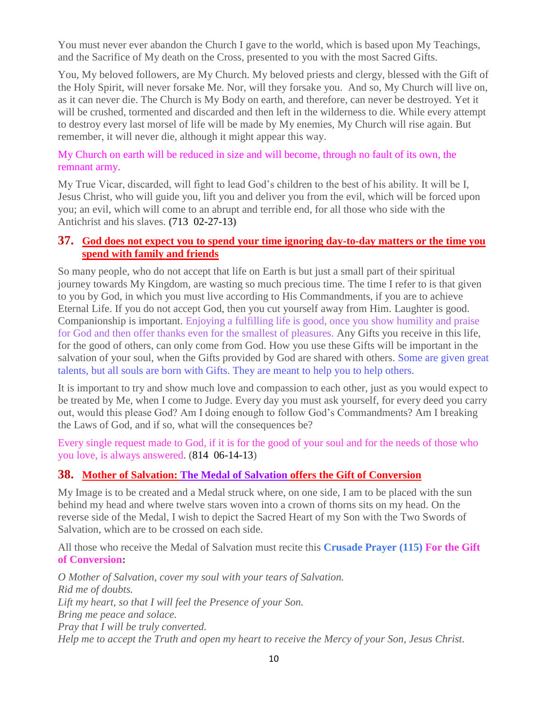You must never ever abandon the Church I gave to the world, which is based upon My Teachings, and the Sacrifice of My death on the Cross, presented to you with the most Sacred Gifts.

You, My beloved followers, are My Church. My beloved priests and clergy, blessed with the Gift of the Holy Spirit, will never forsake Me. Nor, will they forsake you. And so, My Church will live on, as it can never die. The Church is My Body on earth, and therefore, can never be destroyed. Yet it will be crushed, tormented and discarded and then left in the wilderness to die. While every attempt to destroy every last morsel of life will be made by My enemies, My Church will rise again. But remember, it will never die, although it might appear this way.

#### My Church on earth will be reduced in size and will become, through no fault of its own, the remnant army.

My True Vicar, discarded, will fight to lead God's children to the best of his ability. It will be I, Jesus Christ, who will guide you, lift you and deliver you from the evil, which will be forced upon you; an evil, which will come to an abrupt and terrible end, for all those who side with the Antichrist and his slaves. **(**713 02-27-13**)**

#### **37. [God does not expect you to spend your time ignoring day-to-day matters or the time you](http://www.thewarningsecondcoming.com/god-does-not-expect-you-to-spend-your-time-ignoring-day-to-day-matters-or-the-time-you-spend-with-family-and-friend/)  [spend with family and friends](http://www.thewarningsecondcoming.com/god-does-not-expect-you-to-spend-your-time-ignoring-day-to-day-matters-or-the-time-you-spend-with-family-and-friend/)**

So many people, who do not accept that life on Earth is but just a small part of their spiritual journey towards My Kingdom, are wasting so much precious time. The time I refer to is that given to you by God, in which you must live according to His Commandments, if you are to achieve Eternal Life. If you do not accept God, then you cut yourself away from Him. Laughter is good. Companionship is important. Enjoying a fulfilling life is good, once you show humility and praise for God and then offer thanks even for the smallest of pleasures. Any Gifts you receive in this life, for the good of others, can only come from God. How you use these Gifts will be important in the salvation of your soul, when the Gifts provided by God are shared with others. Some are given great talents, but all souls are born with Gifts. They are meant to help you to help others.

It is important to try and show much love and compassion to each other, just as you would expect to be treated by Me, when I come to Judge. Every day you must ask yourself, for every deed you carry out, would this please God? Am I doing enough to follow God's Commandments? Am I breaking the Laws of God, and if so, what will the consequences be?

Every single request made to God, if it is for the good of your soul and for the needs of those who you love, is always answered. (814 06-14-13)

#### **38. [Mother of Salvation: The Medal of Salvation](http://www.thewarningsecondcoming.com/mother-of-salvation-the-medal-of-salvation-offers-the-gift-of-conversion/) offers the Gift of Conversion**

My Image is to be created and a Medal struck where, on one side, I am to be placed with the sun behind my head and where twelve stars woven into a crown of thorns sits on my head. On the reverse side of the Medal, I wish to depict the Sacred Heart of my Son with the Two Swords of Salvation, which are to be crossed on each side.

All those who receive the Medal of Salvation must recite this **Crusade Prayer (115) For the Gift of Conversion:**

*O Mother of Salvation, cover my soul with your tears of Salvation. Rid me of doubts. Lift my heart, so that I will feel the Presence of your Son. Bring me peace and solace. Pray that I will be truly converted. Help me to accept the Truth and open my heart to receive the Mercy of your Son, Jesus Christ.*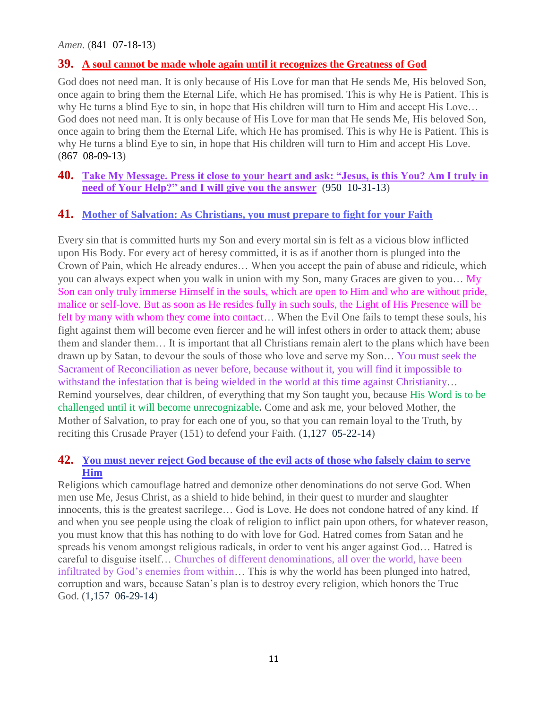*Amen.* (841 07-18-13)

#### **39. [A soul cannot be made whole again until it recognizes the Greatness of God](http://www.thewarningsecondcoming.com/a-soul-cannot-be-made-whole-again-until-it-recognises-the-greatness-of-god/)**

God does not need man. It is only because of His Love for man that He sends Me, His beloved Son, once again to bring them the Eternal Life, which He has promised. This is why He is Patient. This is why He turns a blind Eye to sin, in hope that His children will turn to Him and accept His Love… God does not need man. It is only because of His Love for man that He sends Me, His beloved Son, once again to bring them the Eternal Life, which He has promised. This is why He is Patient. This is why He turns a blind Eye to sin, in hope that His children will turn to Him and accept His Love. (867 08-09-13)

#### **40. Take My Message. Press it close to your heart and ask: "Jesus, is this You? Am I truly in need of Your Help?" and I will give you the answer** (950 10-31-13)

#### **41. [Mother of Salvation: As Christians, you must prepare to fight for your Faith](http://www.thewarningsecondcoming.com/mother-of-salvation-as-christians-you-must-prepare-to-fight-for-your-faith/)**

Every sin that is committed hurts my Son and every mortal sin is felt as a vicious blow inflicted upon His Body. For every act of heresy committed, it is as if another thorn is plunged into the Crown of Pain, which He already endures… When you accept the pain of abuse and ridicule, which you can always expect when you walk in union with my Son, many Graces are given to you… My Son can only truly immerse Himself in the souls, which are open to Him and who are without pride, malice or self-love. But as soon as He resides fully in such souls, the Light of His Presence will be felt by many with whom they come into contact… When the Evil One fails to tempt these souls, his fight against them will become even fiercer and he will infest others in order to attack them; abuse them and slander them… It is important that all Christians remain alert to the plans which have been drawn up by Satan, to devour the souls of those who love and serve my Son… You must seek the Sacrament of Reconciliation as never before, because without it, you will find it impossible to withstand the infestation that is being wielded in the world at this time against Christianity... Remind yourselves, dear children, of everything that my Son taught you, because His Word is to be challenged until it will become unrecognizable**.** Come and ask me, your beloved Mother, the Mother of Salvation, to pray for each one of you, so that you can remain loyal to the Truth, by reciting this Crusade Prayer (151) to defend your Faith. (1,127 05-22-14)

#### **42. [You must never reject God because of the evil acts of those who falsely claim to serve](http://www.thewarningsecondcoming.com/you-must-never-reject-god-because-of-the-evil-acts-of-those-who-falsely-claim-to-serve-him/)  [Him](http://www.thewarningsecondcoming.com/you-must-never-reject-god-because-of-the-evil-acts-of-those-who-falsely-claim-to-serve-him/)**

Religions which camouflage hatred and demonize other denominations do not serve God. When men use Me, Jesus Christ, as a shield to hide behind, in their quest to murder and slaughter innocents, this is the greatest sacrilege… God is Love. He does not condone hatred of any kind. If and when you see people using the cloak of religion to inflict pain upon others, for whatever reason, you must know that this has nothing to do with love for God. Hatred comes from Satan and he spreads his venom amongst religious radicals, in order to vent his anger against God… Hatred is careful to disguise itself… Churches of different denominations, all over the world, have been infiltrated by God's enemies from within… This is why the world has been plunged into hatred, corruption and wars, because Satan's plan is to destroy every religion, which honors the True God. (1,157 06-29-14)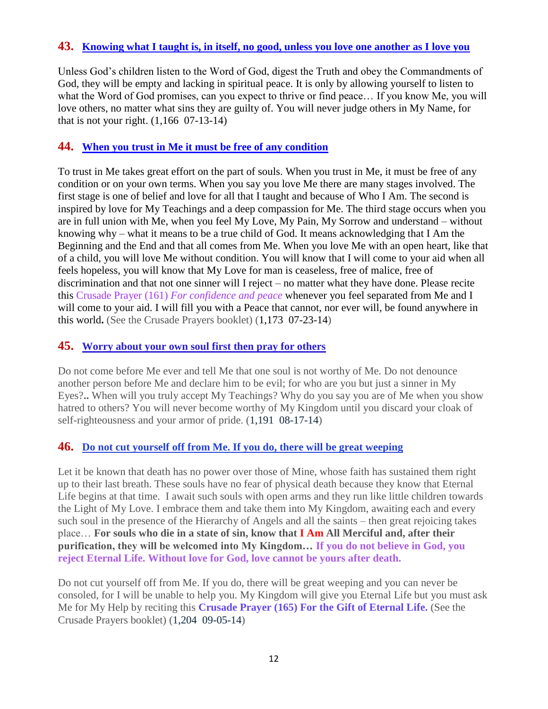#### **43. Knowing [what I taught is, in itself, no good, unless you love one another as I love you](http://www.thewarningsecondcoming.com/knowing-what-i-taught-is-in-itself-no-good-unless-you-love-one-another-as-i-love-you/)**

Unless God's children listen to the Word of God, digest the Truth and obey the Commandments of God, they will be empty and lacking in spiritual peace. It is only by allowing yourself to listen to what the Word of God promises, can you expect to thrive or find peace… If you know Me, you will love others, no matter what sins they are guilty of. You will never judge others in My Name, for that is not your right. (1,166 07-13-14)

#### **44. [When you trust in Me it must be free of any condition](http://www.thewarningsecondcoming.com/when-you-trust-in-me-it-must-be-free-of-any-condition/)**

To trust in Me takes great effort on the part of souls. When you trust in Me, it must be free of any condition or on your own terms. When you say you love Me there are many stages involved. The first stage is one of belief and love for all that I taught and because of Who I Am. The second is inspired by love for My Teachings and a deep compassion for Me. The third stage occurs when you are in full union with Me, when you feel My Love, My Pain, My Sorrow and understand – without knowing why – what it means to be a true child of God. It means acknowledging that I Am the Beginning and the End and that all comes from Me. When you love Me with an open heart, like that of a child, you will love Me without condition. You will know that I will come to your aid when all feels hopeless, you will know that My Love for man is ceaseless, free of malice, free of discrimination and that not one sinner will I reject – no matter what they have done. Please recite this Crusade Prayer (161) *For confidence and peace* whenever you feel separated from Me and I will come to your aid. I will fill you with a Peace that cannot, nor ever will, be found anywhere in this world**.** (See the Crusade Prayers booklet) (1,173 07-23-14)

#### **45. [Worry about your own soul first then pray for others](http://www.thewarningsecondcoming.com/worry-about-your-own-soul-first-then-pray-for-others/)**

Do not come before Me ever and tell Me that one soul is not worthy of Me. Do not denounce another person before Me and declare him to be evil; for who are you but just a sinner in My Eyes?**..** When will you truly accept My Teachings? Why do you say you are of Me when you show hatred to others? You will never become worthy of My Kingdom until you discard your cloak of self-righteousness and your armor of pride. (1,191 08-17-14)

#### **46. [Do not cut yourself off from Me. If you do, there will be great weeping](http://www.thewarningsecondcoming.com/do-not-cut-yourself-off-from-me-if-you-do-there-will-be-great-weeping/)**

Let it be known that death has no power over those of Mine, whose faith has sustained them right up to their last breath. These souls have no fear of physical death because they know that Eternal Life begins at that time. I await such souls with open arms and they run like little children towards the Light of My Love. I embrace them and take them into My Kingdom, awaiting each and every such soul in the presence of the Hierarchy of Angels and all the saints – then great rejoicing takes place… **For souls who die in a state of sin, know that I Am All Merciful and, after their purification, they will be welcomed into My Kingdom… If you do not believe in God, you reject Eternal Life. Without love for God, love cannot be yours after death.**

Do not cut yourself off from Me. If you do, there will be great weeping and you can never be consoled, for I will be unable to help you. My Kingdom will give you Eternal Life but you must ask Me for My Help by reciting this **Crusade Prayer (165) For the Gift of Eternal Life.** (See the Crusade Prayers booklet) (1,204 09-05-14)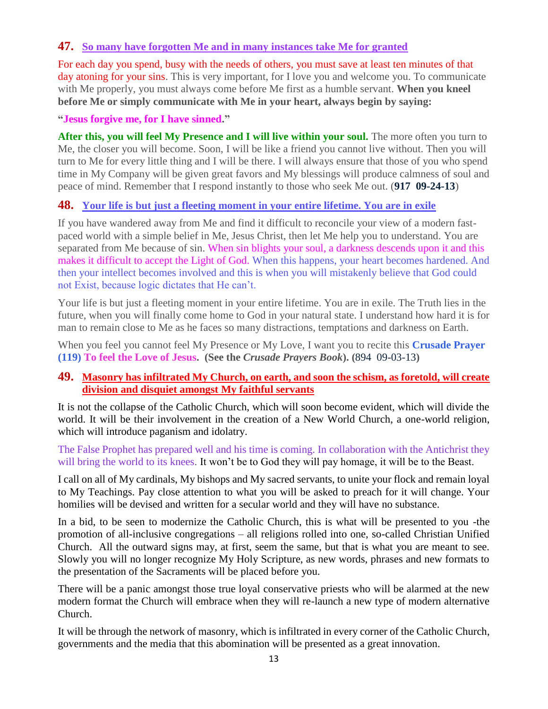# **47. [So many have forgotten Me and in many instances take Me for granted](http://www.thewarningsecondcoming.com/so-many-have-forgotten-me-and-in-many-instances-take-me-for-granted/)**

For each day you spend, busy with the needs of others, you must save at least ten minutes of that day atoning for your sins. This is very important, for I love you and welcome you. To communicate with Me properly, you must always come before Me first as a humble servant. **When you kneel before Me or simply communicate with Me in your heart, always begin by saying:**

**"Jesus forgive me, for I have sinned."**

After this, you will feel My Presence and I will live within your soul. The more often you turn to Me, the closer you will become. Soon, I will be like a friend you cannot live without. Then you will turn to Me for every little thing and I will be there. I will always ensure that those of you who spend time in My Company will be given great favors and My blessings will produce calmness of soul and peace of mind. Remember that I respond instantly to those who seek Me out. (**917 09-24-13**)

#### **48. [Your life is but just a fleeting moment in your entire lifetime. You are in exile](http://www.thewarningsecondcoming.com/your-life-is-but-just-a-fleeting-moment-in-your-entire-lifetime-you-are-in-exile/)**

If you have wandered away from Me and find it difficult to reconcile your view of a modern fastpaced world with a simple belief in Me, Jesus Christ, then let Me help you to understand. You are separated from Me because of sin. When sin blights your soul, a darkness descends upon it and this makes it difficult to accept the Light of God. When this happens, your heart becomes hardened. And then your intellect becomes involved and this is when you will mistakenly believe that God could not Exist, because logic dictates that He can't.

Your life is but just a fleeting moment in your entire lifetime. You are in exile. The Truth lies in the future, when you will finally come home to God in your natural state. I understand how hard it is for man to remain close to Me as he faces so many distractions, temptations and darkness on Earth.

When you feel you cannot feel My Presence or My Love, I want you to recite this **Crusade Prayer (119) To feel the Love of Jesus. (See the** *Crusade Prayers Book***). (**894 09-03-13**)**

#### **49. [Masonry has infiltrated My Church, on earth, and soon the schism, as foretold, will create](http://www.thewarningsecondcoming.com/masonry-has-infiltrated-my-church-on-earth-)  division [and disquiet amongst My faithful servants](http://www.thewarningsecondcoming.com/masonry-has-infiltrated-my-church-on-earth-)**

It is not the collapse of the Catholic Church, which will soon become evident, which will divide the world. It will be their involvement in the creation of a New World Church, a one-world religion, which will introduce paganism and idolatry.

The False Prophet has prepared well and his time is coming. In collaboration with the Antichrist they will bring the world to its knees. It won't be to God they will pay homage, it will be to the Beast.

I call on all of My cardinals, My bishops and My sacred servants, to unite your flock and remain loyal to My Teachings. Pay close attention to what you will be asked to preach for it will change. Your homilies will be devised and written for a secular world and they will have no substance.

In a bid, to be seen to modernize the Catholic Church, this is what will be presented to you -the promotion of all-inclusive congregations – all religions rolled into one, so-called Christian Unified Church. All the outward signs may, at first, seem the same, but that is what you are meant to see. Slowly you will no longer recognize My Holy Scripture, as new words, phrases and new formats to the presentation of the Sacraments will be placed before you.

There will be a panic amongst those true loyal conservative priests who will be alarmed at the new modern format the Church will embrace when they will re-launch a new type of modern alternative Church.

It will be through the network of masonry, which is infiltrated in every corner of the Catholic Church, governments and the media that this abomination will be presented as a great innovation.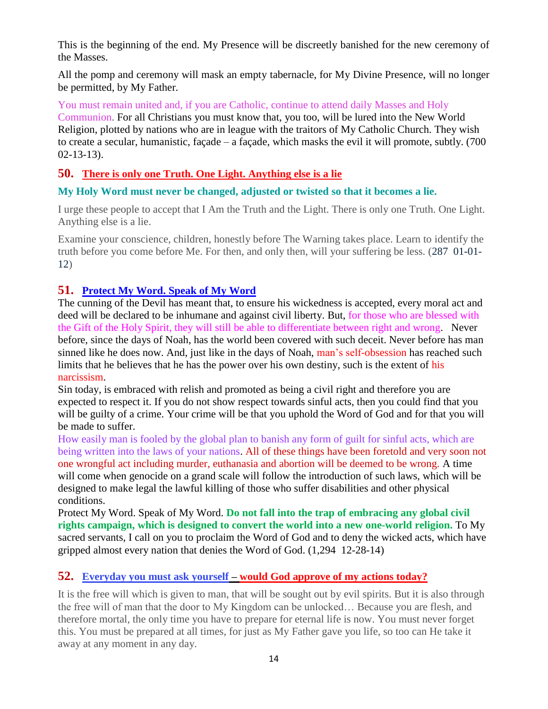This is the beginning of the end. My Presence will be discreetly banished for the new ceremony of the Masses.

All the pomp and ceremony will mask an empty tabernacle, for My Divine Presence, will no longer be permitted, by My Father.

You must remain united and, if you are Catholic, continue to attend daily Masses and Holy Communion. For all Christians you must know that, you too, will be lured into the New World Religion, plotted by nations who are in league with the traitors of My Catholic Church. They wish to create a secular, humanistic, façade – a façade, which masks the evil it will promote, subtly. (700 02-13-13).

#### **50. [There is only one Truth. One Light. Anything else is a lie](http://www.thewarningsecondcoming.com/there-is-only-one-truth-one-light-anything-else-is-a-lie/)**

#### **My Holy Word must never be changed, adjusted or twisted so that it becomes a lie.**

I urge these people to accept that I Am the Truth and the Light. There is only one Truth. One Light. Anything else is a lie.

Examine your conscience, children, honestly before The Warning takes place. Learn to identify the truth before you come before Me. For then, and only then, will your suffering be less. (287 01-01- 12)

#### **51. [Protect My Word. Speak of My Word](http://www.thewarningsecondcoming.com/protect-my-word-speak-of-my-word/)**

The cunning of the Devil has meant that, to ensure his wickedness is accepted, every moral act and deed will be declared to be inhumane and against civil liberty. But, for those who are blessed with the Gift of the Holy Spirit, they will still be able to differentiate between right and wrong. Never before, since the days of Noah, has the world been covered with such deceit. Never before has man sinned like he does now. And, just like in the days of Noah, man's self-obsession has reached such limits that he believes that he has the power over his own destiny, such is the extent of his narcissism.

Sin today, is embraced with relish and promoted as being a civil right and therefore you are expected to respect it. If you do not show respect towards sinful acts, then you could find that you will be guilty of a crime. Your crime will be that you uphold the Word of God and for that you will be made to suffer.

How easily man is fooled by the global plan to banish any form of guilt for sinful acts, which are being written into the laws of your nations. All of these things have been foretold and very soon not one wrongful act including murder, euthanasia and abortion will be deemed to be wrong. A time will come when genocide on a grand scale will follow the introduction of such laws, which will be designed to make legal the lawful killing of those who suffer disabilities and other physical conditions.

Protect My Word. Speak of My Word. **Do not fall into the trap of embracing any global civil rights campaign, which is designed to convert the world into a new one-world religion.** To My sacred servants, I call on you to proclaim the Word of God and to deny the wicked acts, which have gripped almost every nation that denies the Word of God. (1,294 12-28-14)

#### **52. Everyday you must ask yourself – [would God approve of my actions today?](http://www.thewarningsecondcoming.com/every-day-you-must-ask-yourself-would-god-approve-of-my-actions-today/)**

It is the free will which is given to man, that will be sought out by evil spirits. But it is also through the free will of man that the door to My Kingdom can be unlocked… Because you are flesh, and therefore mortal, the only time you have to prepare for eternal life is now. You must never forget this. You must be prepared at all times, for just as My Father gave you life, so too can He take it away at any moment in any day.